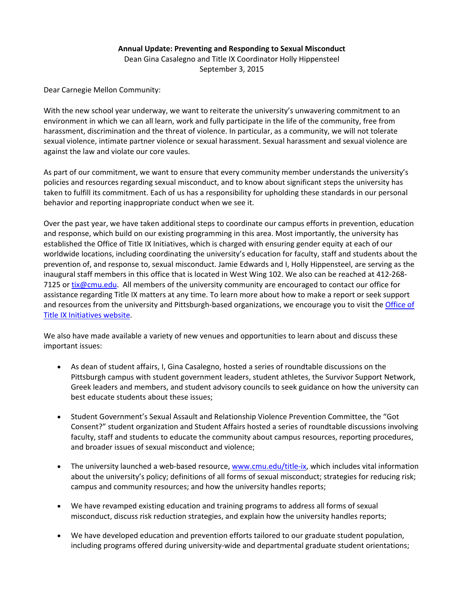## **Annual Update: Preventing and Responding to Sexual Misconduct**

Dean Gina Casalegno and Title IX Coordinator Holly Hippensteel September 3, 2015

Dear Carnegie Mellon Community:

With the new school year underway, we want to reiterate the university's unwavering commitment to an environment in which we can all learn, work and fully participate in the life of the community, free from harassment, discrimination and the threat of violence. In particular, as a community, we will not tolerate sexual violence, intimate partner violence or sexual harassment. Sexual harassment and sexual violence are against the law and violate our core vaules.

As part of our commitment, we want to ensure that every community member understands the university's policies and resources regarding sexual misconduct, and to know about significant steps the university has taken to fulfill its commitment. Each of us has a responsibility for upholding these standards in our personal behavior and reporting inappropriate conduct when we see it.

Over the past year, we have taken additional steps to coordinate our campus efforts in prevention, education and response, which build on our existing programming in this area. Most importantly, the university has established the Office of Title IX Initiatives, which is charged with ensuring gender equity at each of our worldwide locations, including coordinating the university's education for faculty, staff and students about the prevention of, and response to, sexual misconduct. Jamie Edwards and I, Holly Hippensteel, are serving as the inaugural staff members in this office that is located in West Wing 102. We also can be reached at 412‐268‐ 7125 or tix@cmu.edu. All members of the university community are encouraged to contact our office for assistance regarding Title IX matters at any time. To learn more about how to make a report or seek support and resources from the university and Pittsburgh‐based organizations, we encourage you to visit the Office of Title IX Initiatives website.

We also have made available a variety of new venues and opportunities to learn about and discuss these important issues:

- As dean of student affairs, I, Gina Casalegno, hosted a series of roundtable discussions on the Pittsburgh campus with student government leaders, student athletes, the Survivor Support Network, Greek leaders and members, and student advisory councils to seek guidance on how the university can best educate students about these issues;
- Student Government's Sexual Assault and Relationship Violence Prevention Committee, the "Got Consent?" student organization and Student Affairs hosted a series of roundtable discussions involving faculty, staff and students to educate the community about campus resources, reporting procedures, and broader issues of sexual misconduct and violence;
- The university launched a web-based resource, www.cmu.edu/title-ix, which includes vital information about the university's policy; definitions of all forms of sexual misconduct; strategies for reducing risk; campus and community resources; and how the university handles reports;
- We have revamped existing education and training programs to address all forms of sexual misconduct, discuss risk reduction strategies, and explain how the university handles reports;
- We have developed education and prevention efforts tailored to our graduate student population, including programs offered during university-wide and departmental graduate student orientations;